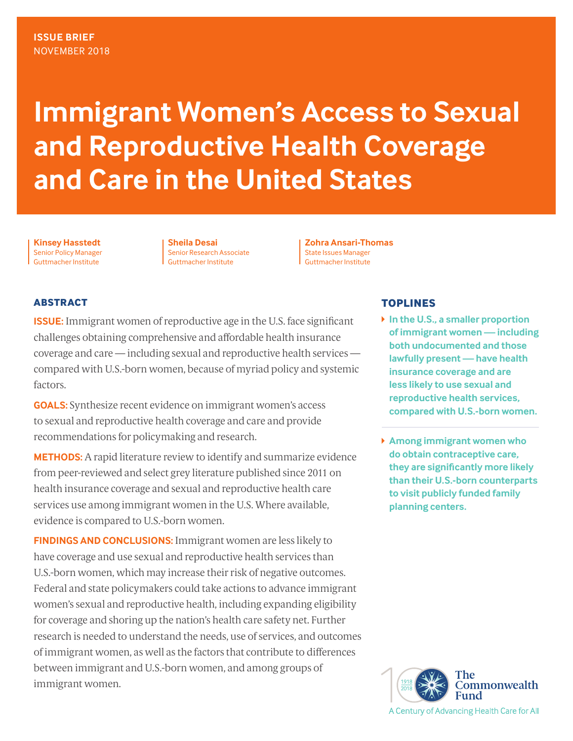# **Immigrant Women's Access to Sexual and Reproductive Health Coverage and Care in the United States**

**Kinsey Hasstedt** Senior Policy Manager Guttmacher Institute

**Sheila Desai**  Senior Research Associate Guttmacher Institute

**Zohra Ansari-Thomas** State Issues Manager Guttmacher Institute

## **ABSTRACT**

**ISSUE:** Immigrant women of reproductive age in the U.S. face significant challenges obtaining comprehensive and affordable health insurance coverage and care — including sexual and reproductive health services compared with U.S.-born women, because of myriad policy and systemic factors.

**GOALS:** Synthesize recent evidence on immigrant women's access to sexual and reproductive health coverage and care and provide recommendations for policymaking and research.

**METHODS:** A rapid literature review to identify and summarize evidence from peer-reviewed and select grey literature published since 2011 on health insurance coverage and sexual and reproductive health care services use among immigrant women in the U.S. Where available, evidence is compared to U.S.-born women.

**FINDINGS AND CONCLUSIONS:** Immigrant women are less likely to have coverage and use sexual and reproductive health services than U.S.-born women, which may increase their risk of negative outcomes. Federal and state policymakers could take actions to advance immigrant women's sexual and reproductive health, including expanding eligibility for coverage and shoring up the nation's health care safety net. Further research is needed to understand the needs, use of services, and outcomes of immigrant women, as well as the factors that contribute to differences between immigrant and U.S.-born women, and among groups of immigrant women.

## **TOPLINES**

- **In the U.S., a smaller proportion of immigrant women— including both undocumented and those lawfully present — have health insurance coverage and are less likely to use sexual and reproductive health services, compared with U.S.-born women.**
- **Among immigrant women who do obtain contraceptive care, they are significantly more likely than their U.S.-born counterparts to visit publicly funded family planning centers.**

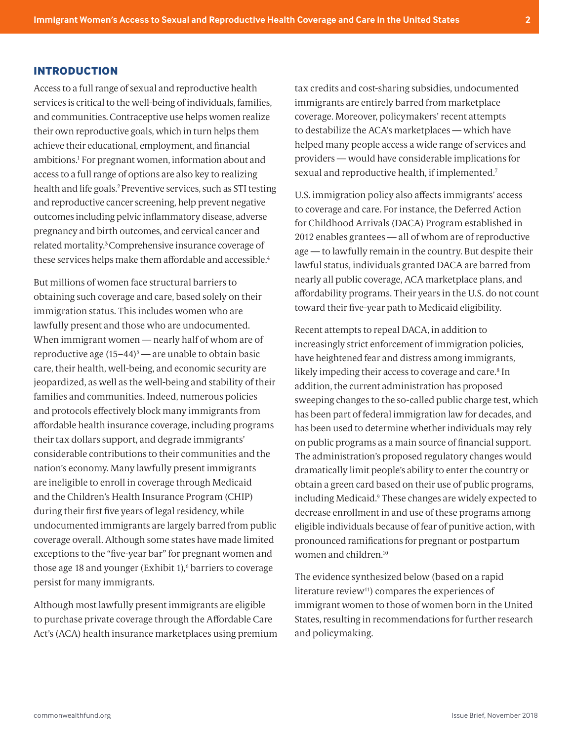#### <span id="page-1-0"></span>**INTRODUCTION**

Access to a full range of sexual and reproductive health services is critical to the well-being of individuals, families, and communities. Contraceptive use helps women realize their own reproductive goals, which in turn helps them achieve their educational, employment, and financial ambitions[.1](#page-6-0) For pregnant women, information about and access to a full range of options are also key to realizing health and life goals.<sup>2</sup> Preventive services, such as STI testing and reproductive cancer screening, help prevent negative outcomes including pelvic inflammatory disease, adverse pregnancy and birth outcomes, and cervical cancer and related mortality[.3](#page-6-0)Comprehensive insurance coverage of these services helps make them affordable and accessible[.4](#page-6-0)

But millions of women face structural barriers to obtaining such coverage and care, based solely on their immigration status. This includes women who are lawfully present and those who are undocumented. When immigrant women — nearly half of whom are of reproductive age  $(15-44)^5$  — are unable to obtain basic care, their health, well-being, and economic security are jeopardized, as well as the well-being and stability of their families and communities. Indeed, numerous policies and protocols effectively block many immigrants from affordable health insurance coverage, including programs their tax dollars support, and degrade immigrants' considerable contributions to their communities and the nation's economy. Many lawfully present immigrants are ineligible to enroll in coverage through Medicaid and the Children's Health Insurance Program (CHIP) during their first five years of legal residency, while undocumented immigrants are largely barred from public coverage overall. Although some states have made limited exceptions to the "five-year bar" for pregnant women and those age 18 and younger (Exhibit 1),<sup>6</sup> barriers to coverage persist for many immigrants.

Although most lawfully present immigrants are eligible to purchase private coverage through the Affordable Care Act's (ACA) health insurance marketplaces using premium tax credits and cost-sharing subsidies, undocumented immigrants are entirely barred from marketplace coverage. Moreover, policymakers' recent attempts to destabilize the ACA's marketplaces — which have helped many people access a wide range of services and providers — would have considerable implications for sexual and reproductive health, if implemented[.7](#page-6-0)

U.S. immigration policy also affects immigrants' access to coverage and care. For instance, the Deferred Action for Childhood Arrivals (DACA) Program established in 2012 enables grantees — all of whom are of reproductive age — to lawfully remain in the country. But despite their lawful status, individuals granted DACA are barred from nearly all public coverage, ACA marketplace plans, and affordability programs. Their years in the U.S. do not count toward their five-year path to Medicaid eligibility.

Recent attempts to repeal DACA, in addition to increasingly strict enforcement of immigration policies, have heightened fear and distress among immigrants, likely impeding their access to coverage and care.<sup>[8](#page-6-0)</sup> In addition, the current administration has proposed sweeping changes to the so-called public charge test, which has been part of federal immigration law for decades, and has been used to determine whether individuals may rely on public programs as a main source of financial support. The administration's proposed regulatory changes would dramatically limit people's ability to enter the country or obtain a green card based on their use of public programs, including Medicaid[.9](#page-6-0) These changes are widely expected to decrease enrollment in and use of these programs among eligible individuals because of fear of punitive action, with pronounced ramifications for pregnant or postpartum women and children[.10](#page-6-0)

The evidence synthesized below (based on a rapid literature review<sup>[11](#page-6-0)</sup>) compares the experiences of immigrant women to those of women born in the United States, resulting in recommendations for further research and policymaking.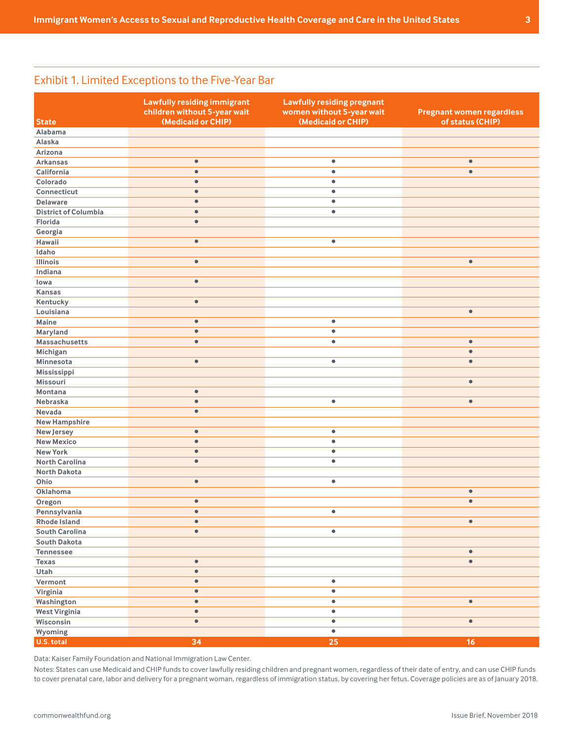# Exhibit 1. Limited Exceptions to the Five-Year Bar

|                             | <b>Lawfully residing immigrant</b><br>children without 5-year wait | <b>Lawfully residing pregnant</b><br>women without 5-year wait | <b>Pregnant women regardless</b> |
|-----------------------------|--------------------------------------------------------------------|----------------------------------------------------------------|----------------------------------|
| <b>State</b>                | (Medicaid or CHIP)                                                 | (Medicaid or CHIP)                                             | of status (CHIP)                 |
| Alabama                     |                                                                    |                                                                |                                  |
| Alaska                      |                                                                    |                                                                |                                  |
| Arizona                     |                                                                    |                                                                |                                  |
| <b>Arkansas</b>             | $\bullet$                                                          | $\bullet$                                                      | $\bullet$                        |
| California                  | $\bullet$                                                          | $\bullet$                                                      | $\bullet$                        |
| Colorado                    | $\bullet$                                                          | $\bullet$                                                      |                                  |
| Connecticut                 | $\bullet$                                                          | $\bullet$                                                      |                                  |
| <b>Delaware</b>             | $\bullet$                                                          | $\bullet$                                                      |                                  |
| <b>District of Columbia</b> | $\bullet$                                                          | $\bullet$                                                      |                                  |
| Florida                     | $\bullet$                                                          |                                                                |                                  |
| Georgia                     |                                                                    |                                                                |                                  |
| Hawaii                      | $\bullet$                                                          | $\bullet$                                                      |                                  |
| Idaho                       |                                                                    |                                                                |                                  |
| <b>Illinois</b>             | $\bullet$                                                          |                                                                | $\bullet$                        |
| Indiana                     |                                                                    |                                                                |                                  |
| lowa                        | $\bullet$                                                          |                                                                |                                  |
| Kansas                      |                                                                    |                                                                |                                  |
| Kentucky                    | $\bullet$                                                          |                                                                |                                  |
| Louisiana                   |                                                                    |                                                                | $\bullet$                        |
| Maine                       | $\bullet$                                                          | $\bullet$                                                      |                                  |
|                             | $\bullet$                                                          | $\bullet$                                                      |                                  |
| Maryland                    |                                                                    |                                                                |                                  |
| Massachusetts               | $\bullet$                                                          | $\bullet$                                                      | $\bullet$                        |
| Michigan                    |                                                                    |                                                                | $\bullet$                        |
| Minnesota                   | $\bullet$                                                          | $\bullet$                                                      | $\bullet$                        |
| Mississippi                 |                                                                    |                                                                |                                  |
| Missouri                    |                                                                    |                                                                | $\bullet$                        |
| Montana                     | $\bullet$                                                          |                                                                |                                  |
| Nebraska                    | $\bullet$                                                          | $\bullet$                                                      | $\bullet$                        |
| Nevada                      | $\bullet$                                                          |                                                                |                                  |
| <b>New Hampshire</b>        |                                                                    |                                                                |                                  |
| New Jersey                  | $\bullet$                                                          | $\bullet$                                                      |                                  |
| <b>New Mexico</b>           | $\bullet$                                                          | $\bullet$                                                      |                                  |
| <b>New York</b>             | $\bullet$                                                          | $\bullet$                                                      |                                  |
| <b>North Carolina</b>       | $\bullet$                                                          | $\bullet$                                                      |                                  |
| <b>North Dakota</b>         |                                                                    |                                                                |                                  |
| Ohio                        | $\bullet$                                                          | $\bullet$                                                      |                                  |
| Oklahoma                    |                                                                    |                                                                | $\bullet$                        |
| Oregon                      | $\bullet$                                                          |                                                                | $\bullet$                        |
| Pennsylvania                | $\bullet$                                                          | ۰                                                              |                                  |
| Rhode Island                | $\bullet$                                                          |                                                                | $\bullet$                        |
| <b>South Carolina</b>       | $\bullet$                                                          | $\bullet$                                                      |                                  |
| South Dakota                |                                                                    |                                                                |                                  |
| <b>Tennessee</b>            |                                                                    |                                                                | $\bullet$                        |
| Texas                       | $\bullet$                                                          |                                                                | $\bullet$                        |
| Utah                        | $\bullet$                                                          |                                                                |                                  |
| Vermont                     | $\bullet$                                                          | $\bullet$                                                      |                                  |
| Virginia                    | $\bullet$                                                          | $\bullet$                                                      |                                  |
| Washington                  | $\bullet$                                                          | $\bullet$                                                      | $\bullet$                        |
| <b>West Virginia</b>        | $\bullet$                                                          | $\bullet$                                                      |                                  |
| Wisconsin                   | $\bullet$                                                          | $\bullet$                                                      | $\bullet$                        |
| Wyoming                     |                                                                    | $\bullet$                                                      |                                  |
| U.S. total                  | 34                                                                 | 25                                                             | 16 <sub>1</sub>                  |

Data: Kaiser Family Foundation and National Immigration Law Center.

Notes: States can use Medicaid and CHIP funds to cover lawfully residing children and pregnant women, regardless of their date of entry, and can use CHIP funds to cover prenatal care, labor and delivery for a pregnant woman, regardless of immigration status, by covering her fetus. Coverage policies are as of January 2018.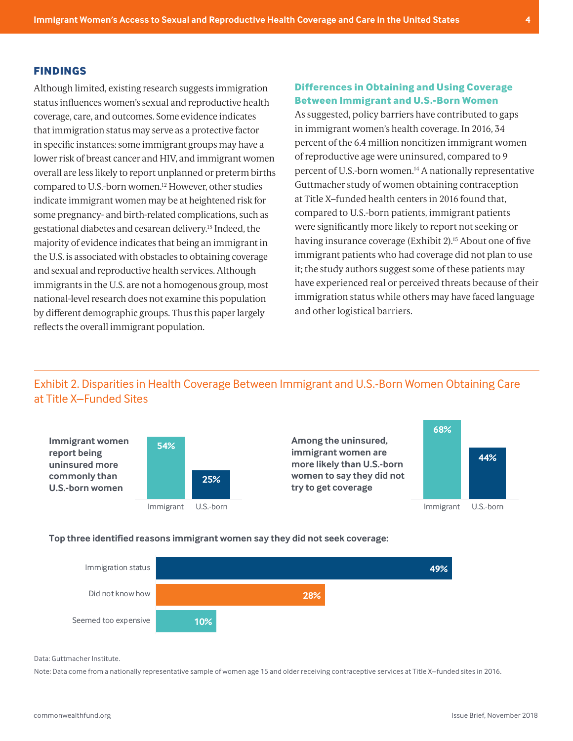#### <span id="page-3-0"></span>**FINDINGS**

Exhibit 2

Although limited, existing research suggests immigration status influences women's sexual and reproductive health coverage, care, and outcomes. Some evidence indicates that immigration status may serve as a protective factor in specific instances: some immigrant groups may have a lower risk of breast cancer and HIV, and immigrant women overall are less likely to report unplanned or preterm births compared to U.S.-born women[.12](#page-6-0) However, other studies indicate immigrant women may be at heightened risk for some pregnancy- and birth-related complications, such as gestational diabetes and cesarean delivery[.13](#page-6-0) Indeed, the majority of evidence indicates that being an immigrant in the U.S. is associated with obstacles to obtaining coverage and sexual and reproductive health services. Although immigrants in the U.S. are not a homogenous group, most national-level research does not examine this population by different demographic groups. Thus this paper largely reflects the overall immigrant population.

## **Differences in Obtaining and Using Coverage Between Immigrant and U.S.-Born Women**

As suggested, policy barriers have contributed to gaps in immigrant women's health coverage. In 2016, 34 percent of the 6.4 million noncitizen immigrant women of reproductive age were uninsured, compared to 9 percent of U.S.-born women[.14](#page-6-0) A nationally representative Guttmacher study of women obtaining contraception at Title X–funded health centers in 2016 found that, compared to U.S.-born patients, immigrant patients were significantly more likely to report not seeking or having insurance coverage (Exhibit 2)[.15](#page-7-0) About one of five immigrant patients who had coverage did not plan to use it; the study authors suggest some of these patients may have experienced real or perceived threats because of their immigration status while others may have faced language and other logistical barriers.

## Exhibit 2. Disparities in Health Coverage Between Immigrant and U.S.-Born Women Obtaining Care  $\frac{1}{2}$  Title X–Funded Sites at Title X–Funded Sites



#### **Top three identified reasons immigrant women say they did not seek coverage:**



Data: Guttmacher Institute.

Note: Data come from a nationally representative sample of women age 15 and older receiving contraceptive services at Title X–funded sites in 2016.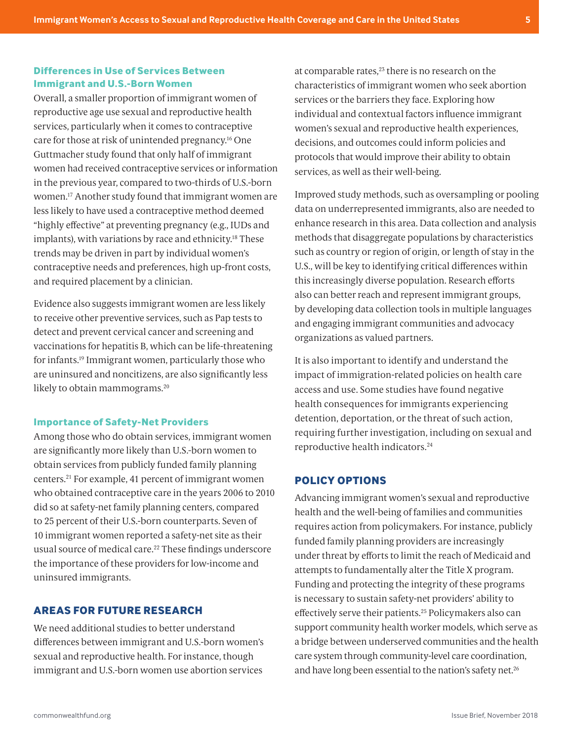## <span id="page-4-0"></span>**Differences in Use of Services Between Immigrant and U.S.-Born Women**

Overall, a smaller proportion of immigrant women of reproductive age use sexual and reproductive health services, particularly when it comes to contraceptive care for those at risk of unintended pregnancy[.16](#page-7-0) One Guttmacher study found that only half of immigrant women had received contraceptive services or information in the previous year, compared to two-thirds of U.S.-born women[.17](#page-7-0) Another study found that immigrant women are less likely to have used a contraceptive method deemed "highly effective" at preventing pregnancy (e.g., IUDs and implants), with variations by race and ethnicity.<sup>18</sup> These trends may be driven in part by individual women's contraceptive needs and preferences, high up-front costs, and required placement by a clinician.

Evidence also suggests immigrant women are less likely to receive other preventive services, such as Pap tests to detect and prevent cervical cancer and screening and vaccinations for hepatitis B, which can be life-threatening for infants[.19](#page-7-0) Immigrant women, particularly those who are uninsured and noncitizens, are also significantly less likely to obtain mammograms.<sup>[20](#page-7-0)</sup>

#### **Importance of Safety-Net Providers**

Among those who do obtain services, immigrant women are significantly more likely than U.S.-born women to obtain services from publicly funded family planning centers[.21](#page-7-0) For example, 41 percent of immigrant women who obtained contraceptive care in the years 2006 to 2010 did so at safety-net family planning centers, compared to 25 percent of their U.S.-born counterparts. Seven of 10 immigrant women reported a safety-net site as their usual source of medical care.<sup>22</sup> These findings underscore the importance of these providers for low-income and uninsured immigrants.

## **AREAS FOR FUTURE RESEARCH**

We need additional studies to better understand differences between immigrant and U.S.-born women's sexual and reproductive health. For instance, though immigrant and U.S.-born women use abortion services

at comparable rates, $23$  there is no research on the characteristics of immigrant women who seek abortion services or the barriers they face. Exploring how individual and contextual factors influence immigrant women's sexual and reproductive health experiences, decisions, and outcomes could inform policies and protocols that would improve their ability to obtain services, as well as their well-being.

Improved study methods, such as oversampling or pooling data on underrepresented immigrants, also are needed to enhance research in this area. Data collection and analysis methods that disaggregate populations by characteristics such as country or region of origin, or length of stay in the U.S., will be key to identifying critical differences within this increasingly diverse population. Research efforts also can better reach and represent immigrant groups, by developing data collection tools in multiple languages and engaging immigrant communities and advocacy organizations as valued partners.

It is also important to identify and understand the impact of immigration-related policies on health care access and use. Some studies have found negative health consequences for immigrants experiencing detention, deportation, or the threat of such action, requiring further investigation, including on sexual and reproductive health indicators[.24](#page-7-0)

## **POLICY OPTIONS**

Advancing immigrant women's sexual and reproductive health and the well-being of families and communities requires action from policymakers. For instance, publicly funded family planning providers are increasingly under threat by efforts to limit the reach of Medicaid and attempts to fundamentally alter the Title X program. Funding and protecting the integrity of these programs is necessary to sustain safety-net providers' ability to effectively serve their patients.[25](#page-7-0) Policymakers also can support community health worker models, which serve as a bridge between underserved communities and the health care system through community-level care coordination, and have long been essential to the nation's safety net.<sup>[26](#page-7-0)</sup>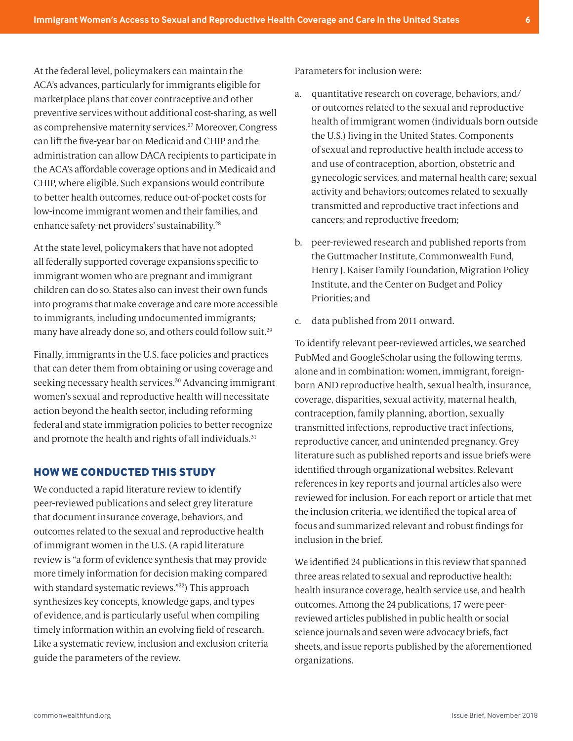<span id="page-5-0"></span>At the federal level, policymakers can maintain the ACA's advances, particularly for immigrants eligible for marketplace plans that cover contraceptive and other preventive services without additional cost-sharing, as well as comprehensive maternity services.[27](#page-7-0) Moreover, Congress can lift the five-year bar on Medicaid and CHIP and the administration can allow DACA recipients to participate in the ACA's affordable coverage options and in Medicaid and CHIP, where eligible. Such expansions would contribute to better health outcomes, reduce out-of-pocket costs for low-income immigrant women and their families, and enhance safety-net providers' sustainability.[28](#page-7-0)

At the state level, policymakers that have not adopted all federally supported coverage expansions specific to immigrant women who are pregnant and immigrant children can do so. States also can invest their own funds into programs that make coverage and care more accessible to immigrants, including undocumented immigrants; many have already done so, and others could follow suit.[29](#page-7-0)

Finally, immigrants in the U.S. face policies and practices that can deter them from obtaining or using coverage and seeking necessary health services.<sup>[30](#page-7-0)</sup> Advancing immigrant women's sexual and reproductive health will necessitate action beyond the health sector, including reforming federal and state immigration policies to better recognize and promote the health and rights of all individuals.<sup>[31](#page-7-0)</sup>

## **HOW WE CONDUCTED THIS STUDY**

We conducted a rapid literature review to identify peer-reviewed publications and select grey literature that document insurance coverage, behaviors, and outcomes related to the sexual and reproductive health of immigrant women in the U.S. (A rapid literature review is "a form of evidence synthesis that may provide more timely information for decision making compared with standard systematic reviews."[32](#page-7-0)) This approach synthesizes key concepts, knowledge gaps, and types of evidence, and is particularly useful when compiling timely information within an evolving field of research. Like a systematic review, inclusion and exclusion criteria guide the parameters of the review.

Parameters for inclusion were:

- a. quantitative research on coverage, behaviors, and/ or outcomes related to the sexual and reproductive health of immigrant women (individuals born outside the U.S.) living in the United States. Components of sexual and reproductive health include access to and use of contraception, abortion, obstetric and gynecologic services, and maternal health care; sexual activity and behaviors; outcomes related to sexually transmitted and reproductive tract infections and cancers; and reproductive freedom;
- b. peer-reviewed research and published reports from the Guttmacher Institute, Commonwealth Fund, Henry J. Kaiser Family Foundation, Migration Policy Institute, and the Center on Budget and Policy Priorities; and
- c. data published from 2011 onward.

To identify relevant peer-reviewed articles, we searched PubMed and GoogleScholar using the following terms, alone and in combination: women, immigrant, foreignborn AND reproductive health, sexual health, insurance, coverage, disparities, sexual activity, maternal health, contraception, family planning, abortion, sexually transmitted infections, reproductive tract infections, reproductive cancer, and unintended pregnancy. Grey literature such as published reports and issue briefs were identified through organizational websites. Relevant references in key reports and journal articles also were reviewed for inclusion. For each report or article that met the inclusion criteria, we identified the topical area of focus and summarized relevant and robust findings for inclusion in the brief.

We identified 24 publications in this review that spanned three areas related to sexual and reproductive health: health insurance coverage, health service use, and health outcomes. Among the 24 publications, 17 were peerreviewed articles published in public health or social science journals and seven were advocacy briefs, fact sheets, and issue reports published by the aforementioned organizations.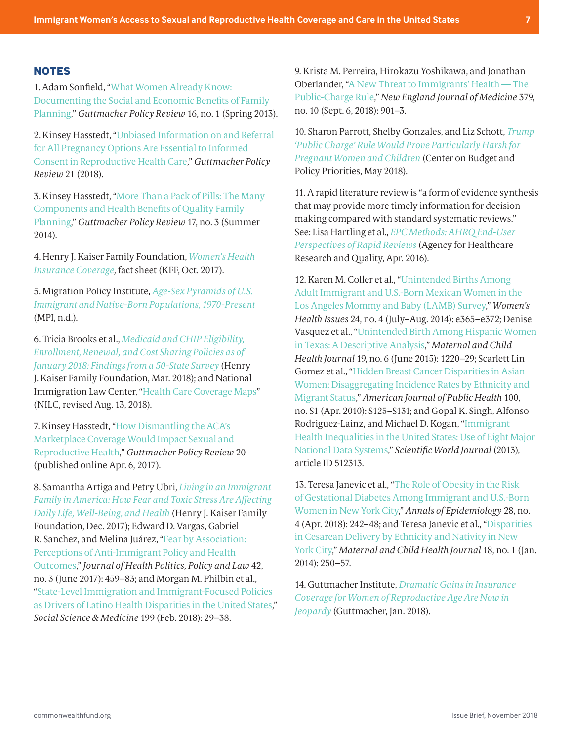#### <span id="page-6-0"></span>**NOTES**

[1](#page-1-0). Adam Sonfield, ["What Women Already Know:](https://www.guttmacher.org/gpr/2013/03/what-women-already-know-documenting-social-and-economic-benefits-family-planning)  [Documenting the Social and Economic Benefits of Family](https://www.guttmacher.org/gpr/2013/03/what-women-already-know-documenting-social-and-economic-benefits-family-planning)  [Planning,](https://www.guttmacher.org/gpr/2013/03/what-women-already-know-documenting-social-and-economic-benefits-family-planning)" *Guttmacher Policy Review* 16, no. 1 (Spring 2013).

[2](#page-1-0). Kinsey Hasstedt, "[Unbiased Information on and Referral](https://www.guttmacher.org/gpr/2018/01/unbiased-information-and-referral-all-pregnancy-options-are-essential-informed-consent)  [for All Pregnancy Options Are Essential to Informed](https://www.guttmacher.org/gpr/2018/01/unbiased-information-and-referral-all-pregnancy-options-are-essential-informed-consent)  [Consent in Reproductive Health Care](https://www.guttmacher.org/gpr/2018/01/unbiased-information-and-referral-all-pregnancy-options-are-essential-informed-consent)," *Guttmacher Policy Review* 21 (2018).

[3](#page-1-0). Kinsey Hasstedt, ["More Than a Pack of Pills: The Many](https://www.guttmacher.org/gpr/2014/09/more-pack-pills-many-components-and-health-benefits-quality-family-planning)  [Components and Health Benefits of Quality Family](https://www.guttmacher.org/gpr/2014/09/more-pack-pills-many-components-and-health-benefits-quality-family-planning)  [Planning,](https://www.guttmacher.org/gpr/2014/09/more-pack-pills-many-components-and-health-benefits-quality-family-planning)" *Guttmacher Policy Review* 17, no. 3 (Summer 2014).

[4](#page-1-0). Henry J. Kaiser Family Foundation, *[Women's Health](https://www.kff.org/womens-health-policy/fact-sheet/womens-health-insurance-coverage-fact-sheet/)  [Insurance Coverage](https://www.kff.org/womens-health-policy/fact-sheet/womens-health-insurance-coverage-fact-sheet/),* fact sheet (KFF, Oct. 2017).

[5](#page-1-0). Migration Policy Institute, *[Age-Sex Pyramids of U.S.](https://www.migrationpolicy.org/programs/data-hub/charts/age-sex-pyramids-immigrant-and-native-born-population-over-time?width=1000&height=850&iframe=true)  [Immigrant and Native-Born Populations, 1970-Present](https://www.migrationpolicy.org/programs/data-hub/charts/age-sex-pyramids-immigrant-and-native-born-population-over-time?width=1000&height=850&iframe=true)* (MPI, n.d.).

[6](#page-1-0). Tricia Brooks et al., *[Medicaid and CHIP Eligibility,](http://files.kff.org/attachment/Report-Medicaid-and-CHIP-Eligibility-Enrollment-Renewal-and-Cost-Sharing-Policies-as-of-January-2018)  [Enrollment, Renewal, and Cost Sharing Policies as of](http://files.kff.org/attachment/Report-Medicaid-and-CHIP-Eligibility-Enrollment-Renewal-and-Cost-Sharing-Policies-as-of-January-2018)  [January 2018: Findings from a 50-State Survey](http://files.kff.org/attachment/Report-Medicaid-and-CHIP-Eligibility-Enrollment-Renewal-and-Cost-Sharing-Policies-as-of-January-2018)* (Henry J. Kaiser Family Foundation, Mar. 2018); and National Immigration Law Center, ["Health Care Coverage Maps](https://www.nilc.org/issues/health-care/healthcoveragemaps/)" (NILC, revised Aug. 13, 2018).

[7.](#page-1-0) Kinsey Hasstedt, "[How Dismantling the ACA's](https://www.guttmacher.org/gpr/2017/04/how-dismantling-acas-marketplace-coverage-would-impact-sexual-and-reproductive-health)  [Marketplace Coverage Would Impact Sexual and](https://www.guttmacher.org/gpr/2017/04/how-dismantling-acas-marketplace-coverage-would-impact-sexual-and-reproductive-health)  [Reproductive Health,](https://www.guttmacher.org/gpr/2017/04/how-dismantling-acas-marketplace-coverage-would-impact-sexual-and-reproductive-health)" *Guttmacher Policy Review* 20 (published online Apr. 6, 2017).

[8](#page-1-0). Samantha Artiga and Petry Ubri, *[Living in an Immigrant](https://www.kff.org/disparities-policy/issue-brief/living-in-an-immigrant-family-in-america-how-fear-and-toxic-stress-are-affecting-daily-life-well-being-health/)  [Family in America: How Fear and Toxic Stress Are Affecting](https://www.kff.org/disparities-policy/issue-brief/living-in-an-immigrant-family-in-america-how-fear-and-toxic-stress-are-affecting-daily-life-well-being-health/)  [Daily Life, Well-Being, and Health](https://www.kff.org/disparities-policy/issue-brief/living-in-an-immigrant-family-in-america-how-fear-and-toxic-stress-are-affecting-daily-life-well-being-health/)* (Henry J. Kaiser Family Foundation, Dec. 2017); Edward D. Vargas, Gabriel R. Sanchez, and Melina Juárez, "[Fear by Association:](https://read.dukeupress.edu/jhppl/article-abstract/42/3/459/13888)  [Perceptions of Anti-Immigrant Policy and Health](https://read.dukeupress.edu/jhppl/article-abstract/42/3/459/13888)  [Outcomes,](https://read.dukeupress.edu/jhppl/article-abstract/42/3/459/13888)" *Journal of Health Politics, Policy and Law* 42, no. 3 (June 2017): 459–83; and Morgan M. Philbin et al., "[State-Level Immigration and Immigrant-Focused Policies](https://www.sciencedirect.com/science/article/abs/pii/S0277953617302307)  [as Drivers of Latino Health Disparities in the United States,](https://www.sciencedirect.com/science/article/abs/pii/S0277953617302307)" *Social Science & Medicine* 199 (Feb. 2018): 29–38.

[9.](#page-1-0) Krista M. Perreira, Hirokazu Yoshikawa, and Jonathan Oberlander, ["A New Threat to Immigrants' Health — The](https://www.nejm.org/doi/full/10.1056/NEJMp1808020)  [Public-Charge Rule,](https://www.nejm.org/doi/full/10.1056/NEJMp1808020)" *New England Journal of Medicine* 379, no. 10 (Sept. 6, 2018): 901–3.

[10](#page-1-0). Sharon Parrott, Shelby Gonzales, and Liz Schott, *[Trump](https://www.cbpp.org/research/poverty-and-inequality/trump-public-charge-rule-would-prove-particularly-harsh-for-pregnant)  ['Public Charge' Rule Would Prove Particularly Harsh for](https://www.cbpp.org/research/poverty-and-inequality/trump-public-charge-rule-would-prove-particularly-harsh-for-pregnant)  [Pregnant Women and Children](https://www.cbpp.org/research/poverty-and-inequality/trump-public-charge-rule-would-prove-particularly-harsh-for-pregnant)* (Center on Budget and Policy Priorities, May 2018).

[11](#page-1-0). A rapid literature review is "a form of evidence synthesis that may provide more timely information for decision making compared with standard systematic reviews." See: Lisa Hartling et al., *[EPC Methods: AHRQ End-User](https://www.ncbi.nlm.nih.gov/books/NBK362003/)  [Perspectives of Rapid Reviews](https://www.ncbi.nlm.nih.gov/books/NBK362003/)* (Agency for Healthcare Research and Quality, Apr. 2016).

[12](#page-3-0). Karen M. Coller et al., "[Unintended Births Among](https://www.sciencedirect.com/science/article/abs/pii/S1049386714000371)  [Adult Immigrant and U.S.-Born Mexican Women in the](https://www.sciencedirect.com/science/article/abs/pii/S1049386714000371)  [Los Angeles Mommy and Baby \(LAMB\) Survey](https://www.sciencedirect.com/science/article/abs/pii/S1049386714000371)," *Women's Health Issues* 24, no. 4 (July–Aug. 2014): e365–e372; Denise Vasquez et al., ["Unintended Birth Among Hispanic Women](https://www.ncbi.nlm.nih.gov/pmc/articles/PMC4418950/)  [in Texas: A Descriptive Analysis](https://www.ncbi.nlm.nih.gov/pmc/articles/PMC4418950/)," *Maternal and Child Health Journal* 19, no. 6 (June 2015): 1220–29; Scarlett Lin Gomez et al., "[Hidden Breast Cancer Disparities in Asian](https://www.ncbi.nlm.nih.gov/pmc/articles/PMC2837454/)  [Women: Disaggregating Incidence Rates by Ethnicity and](https://www.ncbi.nlm.nih.gov/pmc/articles/PMC2837454/)  [Migrant Status](https://www.ncbi.nlm.nih.gov/pmc/articles/PMC2837454/)," *American Journal of Public Health* 100, no. S1 (Apr. 2010): S125–S131; and Gopal K. Singh, Alfonso Rodriguez-Lainz, and Michael D. Kogan, "[Immigrant](https://www.hindawi.com/journals/tswj/2013/512313/abs/)  [Health Inequalities in the United States: Use of Eight Major](https://www.hindawi.com/journals/tswj/2013/512313/abs/)  [National Data Systems,](https://www.hindawi.com/journals/tswj/2013/512313/abs/)" *Scientific World Journal* (2013), article ID 512313.

[13](#page-3-0). Teresa Janevic et al., ["The Role of Obesity in the Risk](https://www.ncbi.nlm.nih.gov/pubmed/29501220)  [of Gestational Diabetes Among Immigrant and U.S.-Born](https://www.ncbi.nlm.nih.gov/pubmed/29501220)  [Women in New York City](https://www.ncbi.nlm.nih.gov/pubmed/29501220)," *Annals of Epidemiology* 28, no. 4 (Apr. 2018): 242–48; and Teresa Janevic et al., ["Disparities](https://link.springer.com/article/10.1007%2Fs10995-013-1261-6)  [in Cesarean Delivery by Ethnicity and Nativity in New](https://link.springer.com/article/10.1007%2Fs10995-013-1261-6)  [York City,](https://link.springer.com/article/10.1007%2Fs10995-013-1261-6)" *Maternal and Child Health Journal* 18, no. 1 (Jan. 2014): 250–57.

[14](#page-3-0). Guttmacher Institute, *[Dramatic Gains in Insurance](https://www.guttmacher.org/article/2018/01/dramatic-gains-insurance-coverage-women-reproductive-age-are-now-jeopardy)  [Coverage for Women of Reproductive Age Are Now in](https://www.guttmacher.org/article/2018/01/dramatic-gains-insurance-coverage-women-reproductive-age-are-now-jeopardy)  [Jeopardy](https://www.guttmacher.org/article/2018/01/dramatic-gains-insurance-coverage-women-reproductive-age-are-now-jeopardy)* (Guttmacher, Jan. 2018).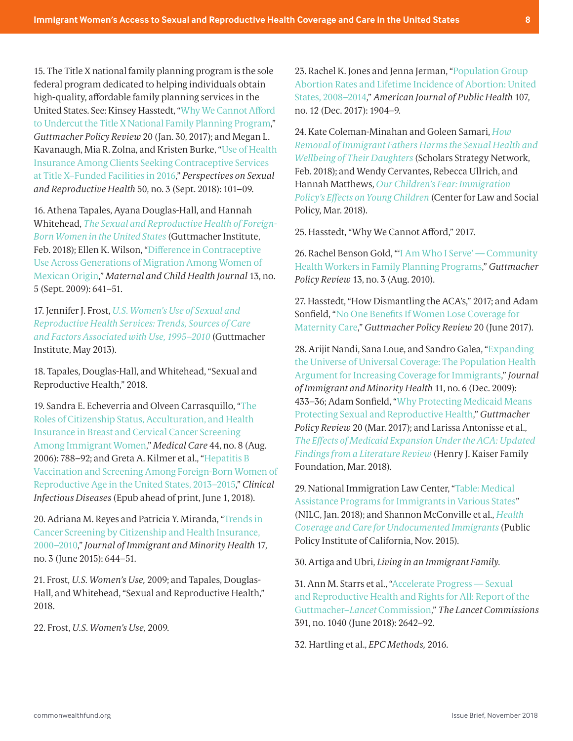<span id="page-7-0"></span>[15](#page-3-0). The Title X national family planning program is the sole federal program dedicated to helping individuals obtain high-quality, affordable family planning services in the United States. See: Kinsey Hasstedt, ["Why We Cannot Afford](https://www.guttmacher.org/gpr/2017/01/why-we-cannot-afford-undercut-title-x-national-family-planning-program)  [to Undercut the Title X National Family Planning Program](https://www.guttmacher.org/gpr/2017/01/why-we-cannot-afford-undercut-title-x-national-family-planning-program)," *Guttmacher Policy Review* 20 (Jan. 30, 2017); and Megan L. Kavanaugh, Mia R. Zolna, and Kristen Burke, "[Use of Health](https://www.guttmacher.org/journals/psrh/2018/06/use-health-insurance-among-clients-seeking-contraceptive-services-title-x)  [Insurance Among Clients Seeking Contraceptive Services](https://www.guttmacher.org/journals/psrh/2018/06/use-health-insurance-among-clients-seeking-contraceptive-services-title-x)  [at Title X–Funded Facilities in 2016,](https://www.guttmacher.org/journals/psrh/2018/06/use-health-insurance-among-clients-seeking-contraceptive-services-title-x)" *Perspectives on Sexual and Reproductive Health* 50, no. 3 (Sept. 2018): 101–09.

[16](#page-4-0). Athena Tapales, Ayana Douglas-Hall, and Hannah Whitehead, *[The Sexual and Reproductive Health of Foreign-](https://www.guttmacher.org/article/2018/02/sexual-and-reproductive-health-foreign-born-women-united-states)[Born Women in the United States](https://www.guttmacher.org/article/2018/02/sexual-and-reproductive-health-foreign-born-women-united-states)* (Guttmacher Institute, Feb. 2018); Ellen K. Wilson, ["Difference in Contraceptive](https://link.springer.com/article/10.1007%2Fs10995-008-0382-9)  [Use Across Generations of Migration Among Women of](https://link.springer.com/article/10.1007%2Fs10995-008-0382-9)  [Mexican Origin](https://link.springer.com/article/10.1007%2Fs10995-008-0382-9)," *Maternal and Child Health Journal* 13, no. 5 (Sept. 2009): 641–51.

[17](#page-4-0). Jennifer J. Frost, *[U.S. Women's Use of Sexual and](https://www.guttmacher.org/report/us-womens-use-sexual-and-reproductive-health-services-trends-sources-care-and-factors)  [Reproductive Health Services: Trends, Sources of Care](https://www.guttmacher.org/report/us-womens-use-sexual-and-reproductive-health-services-trends-sources-care-and-factors)  [and Factors Associated with Use, 1995–2010](https://www.guttmacher.org/report/us-womens-use-sexual-and-reproductive-health-services-trends-sources-care-and-factors)* (Guttmacher Institute, May 2013).

[18](#page-4-0). Tapales, Douglas-Hall, and Whitehead, "Sexual and Reproductive Health," 2018.

[19.](#page-4-0) Sandra E. Echeverria and Olveen Carrasquillo, ["The](https://insights.ovid.com/pubmed?pmid=16862042)  [Roles of Citizenship Status, Acculturation, and Health](https://insights.ovid.com/pubmed?pmid=16862042)  [Insurance in Breast and Cervical Cancer Screening](https://insights.ovid.com/pubmed?pmid=16862042)  [Among Immigrant Women](https://insights.ovid.com/pubmed?pmid=16862042)," *Medical Care* 44, no. 8 (Aug. 2006): 788–92; and Greta A. Kilmer et al., ["Hepatitis B](https://academic.oup.com/cid/advance-article/doi/10.1093/cid/ciy479/5026244)  [Vaccination and Screening Among Foreign-Born Women of](https://academic.oup.com/cid/advance-article/doi/10.1093/cid/ciy479/5026244)  [Reproductive Age in the United States, 2013–2015,](https://academic.oup.com/cid/advance-article/doi/10.1093/cid/ciy479/5026244)" *Clinical Infectious Diseases* (Epub ahead of print, June 1, 2018).

[20.](#page-4-0) Adriana M. Reyes and Patricia Y. Miranda, ["Trends in](https://www.ncbi.nlm.nih.gov/pmc/articles/PMC4561545/)  [Cancer Screening by Citizenship and Health Insurance,](https://www.ncbi.nlm.nih.gov/pmc/articles/PMC4561545/)  [2000–2010,](https://www.ncbi.nlm.nih.gov/pmc/articles/PMC4561545/)" *Journal of Immigrant and Minority Health* 17, no. 3 (June 2015): 644–51.

[21](#page-4-0). Frost, *U.S. Women's Use,* 2009; and Tapales, Douglas-Hall, and Whitehead, "Sexual and Reproductive Health," 2018.

[22.](#page-4-0) Frost, *U.S. Women's Use,* 2009.

[23.](#page-4-0) Rachel K. Jones and Jenna Jerman, ["Population Group](https://www.guttmacher.org/article/2017/10/population-group-abortion-rates-and-lifetime-incidence-abortion-united-states-2008)  [Abortion Rates and Lifetime Incidence of Abortion: United](https://www.guttmacher.org/article/2017/10/population-group-abortion-rates-and-lifetime-incidence-abortion-united-states-2008)  [States, 2008–2014,](https://www.guttmacher.org/article/2017/10/population-group-abortion-rates-and-lifetime-incidence-abortion-united-states-2008)" *American Journal of Public Health* 107, no. 12 (Dec. 2017): 1904–9.

[24](#page-4-0). Kate Coleman-Minahan and Goleen Samari, *[How](https://scholars.org/brief/how-removal-immigrant-fathers-harms-sexual-health-and-wellbeing-their-daughters)  [Removal of Immigrant Fathers Harms the Sexual Health and](https://scholars.org/brief/how-removal-immigrant-fathers-harms-sexual-health-and-wellbeing-their-daughters)  [Wellbeing of Their Daughters](https://scholars.org/brief/how-removal-immigrant-fathers-harms-sexual-health-and-wellbeing-their-daughters)* (Scholars Strategy Network, Feb. 2018); and Wendy Cervantes, Rebecca Ullrich, and Hannah Matthews, *[Our Children's Fear: Immigration](https://www.clasp.org/sites/default/files/publications/2018/03/2018_ourchildrensfears.pdf)  [Policy's Effects on Young Children](https://www.clasp.org/sites/default/files/publications/2018/03/2018_ourchildrensfears.pdf)* (Center for Law and Social Policy, Mar. 2018).

[25](#page-4-0). Hasstedt, "Why We Cannot Afford," 2017.

[26.](#page-4-0) Rachel Benson Gold, "['I Am Who I Serve' — Community](https://www.guttmacher.org/gpr/2010/08/i-am-who-i-serve-community-health-workers-family-planning-programs)  [Health Workers in Family Planning Programs](https://www.guttmacher.org/gpr/2010/08/i-am-who-i-serve-community-health-workers-family-planning-programs)," *Guttmacher Policy Review* 13, no. 3 (Aug. 2010).

[27.](#page-5-0) Hasstedt, "How Dismantling the ACA's," 2017; and Adam Sonfield, ["No One Benefits If Women Lose Coverage for](https://www.guttmacher.org/gpr/2017/06/no-one-benefits-if-women-lose-coverage-maternity-care)  [Maternity Care](https://www.guttmacher.org/gpr/2017/06/no-one-benefits-if-women-lose-coverage-maternity-care)," *Guttmacher Policy Review* 20 (June 2017).

[28.](#page-5-0) Arijit Nandi, Sana Loue, and Sandro Galea, "[Expanding](https://link.springer.com/article/10.1007%2Fs10903-009-9267-2)  [the Universe of Universal Coverage: The Population Health](https://link.springer.com/article/10.1007%2Fs10903-009-9267-2)  [Argument for Increasing Coverage for Immigrants,](https://link.springer.com/article/10.1007%2Fs10903-009-9267-2)" *Journal of Immigrant and Minority Health* 11, no. 6 (Dec. 2009): 433–36; Adam Sonfield, ["Why Protecting Medicaid Means](https://www.guttmacher.org/gpr/2017/03/why-protecting-medicaid-means-protecting-sexual-and-reproductive-health)  [Protecting Sexual and Reproductive Health,](https://www.guttmacher.org/gpr/2017/03/why-protecting-medicaid-means-protecting-sexual-and-reproductive-health)" *Guttmacher Policy Review* 20 (Mar. 2017); and Larissa Antonisse et al., *[The Effects of Medicaid Expansion Under the ACA: Updated](https://www.kff.org/medicaid/issue-brief/the-effects-of-medicaid-expansion-under-the-aca-updated-findings-from-a-literature-review-march-2018/)  [Findings from a Literature Review](https://www.kff.org/medicaid/issue-brief/the-effects-of-medicaid-expansion-under-the-aca-updated-findings-from-a-literature-review-march-2018/)* (Henry J. Kaiser Family Foundation, Mar. 2018).

[29](#page-5-0). National Immigration Law Center, ["Table: Medical](https://www.nilc.org/wp-content/uploads/2015/11/med-services-for-imms-in-states.pdf)  [Assistance Programs for Immigrants in Various States](https://www.nilc.org/wp-content/uploads/2015/11/med-services-for-imms-in-states.pdf)" (NILC, Jan. 2018); and Shannon McConville et al., *[Health](https://www.ppic.org/publication/health-coverage-and-care-for-undocumented-immigrants/)  [Coverage and Care for Undocumented Immigrants](https://www.ppic.org/publication/health-coverage-and-care-for-undocumented-immigrants/)* (Public Policy Institute of California, Nov. 2015).

[30.](#page-5-0) Artiga and Ubri, *Living in an Immigrant Family.*

[31.](#page-5-0) Ann M. Starrs et al., ["Accelerate Progress — Sexual](https://www.thelancet.com/journals/lancet/article/PIIS0140-6736(18)30293-9/fulltext)  [and Reproductive Health and Rights for All: Report of the](https://www.thelancet.com/journals/lancet/article/PIIS0140-6736(18)30293-9/fulltext)  Guttmacher–*Lancet* [Commission,](https://www.thelancet.com/journals/lancet/article/PIIS0140-6736(18)30293-9/fulltext)" *The Lancet Commissions* 391, no. 1040 (June 2018): 2642–92.

[32.](#page-5-0) Hartling et al., *EPC Methods,* 2016.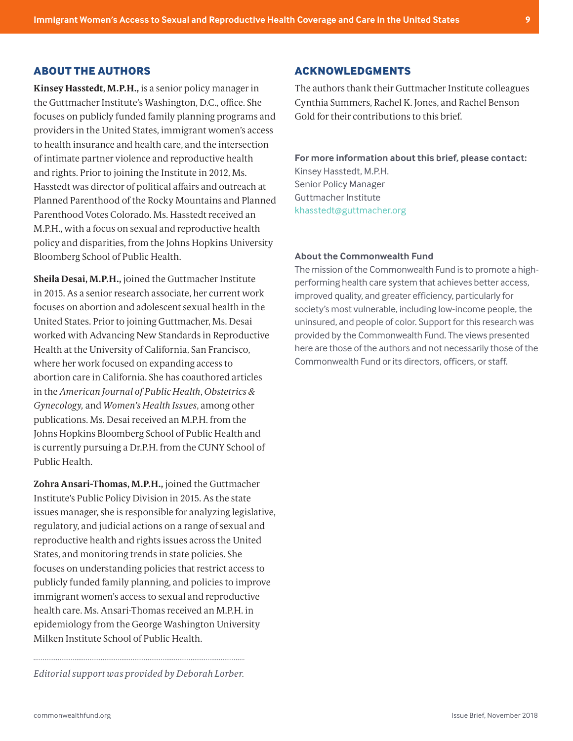## **ABOUT THE AUTHORS**

**Kinsey Hasstedt, M.P.H.,** is a senior policy manager in the Guttmacher Institute's Washington, D.C., office. She focuses on publicly funded family planning programs and providers in the United States, immigrant women's access to health insurance and health care, and the intersection of intimate partner violence and reproductive health and rights. Prior to joining the Institute in 2012, Ms. Hasstedt was director of political affairs and outreach at Planned Parenthood of the Rocky Mountains and Planned Parenthood Votes Colorado. Ms. Hasstedt received an M.P.H., with a focus on sexual and reproductive health policy and disparities, from the Johns Hopkins University Bloomberg School of Public Health.

**Sheila Desai, M.P.H.,** joined the Guttmacher Institute in 2015. As a senior research associate, her current work focuses on abortion and adolescent sexual health in the United States. Prior to joining Guttmacher, Ms. Desai worked with Advancing New Standards in Reproductive Health at the University of California, San Francisco, where her work focused on expanding access to abortion care in California. She has coauthored articles in the *American Journal of Public Health*, *Obstetrics & Gynecology,* and *Women's Health Issues*, among other publications. Ms. Desai received an M.P.H. from the Johns Hopkins Bloomberg School of Public Health and is currently pursuing a Dr.P.H. from the CUNY School of Public Health.

**Zohra Ansari-Thomas, M.P.H.,** joined the Guttmacher Institute's Public Policy Division in 2015. As the state issues manager, she is responsible for analyzing legislative, regulatory, and judicial actions on a range of sexual and reproductive health and rights issues across the United States, and monitoring trends in state policies. She focuses on understanding policies that restrict access to publicly funded family planning, and policies to improve immigrant women's access to sexual and reproductive health care. Ms. Ansari-Thomas received an M.P.H. in epidemiology from the George Washington University Milken Institute School of Public Health.

*Editorial support was provided by Deborah Lorber.*

#### **ACKNOWLEDGMENTS**

The authors thank their Guttmacher Institute colleagues Cynthia Summers, Rachel K. Jones, and Rachel Benson Gold for their contributions to this brief.

#### **For more information about this brief, please contact:**

Kinsey Hasstedt, M.P.H. Senior Policy Manager Guttmacher Institute [khasstedtguttmacher.org](mailto:khasstedt%40guttmacher.org?subject=)

#### **About the Commonwealth Fund**

The mission of the Commonwealth Fund is to promote a highperforming health care system that achieves better access, improved quality, and greater efficiency, particularly for society's most vulnerable, including low-income people, the uninsured, and people of color. Support for this research was provided by the Commonwealth Fund. The views presented here are those of the authors and not necessarily those of the Commonwealth Fund or its directors, officers, or staff.